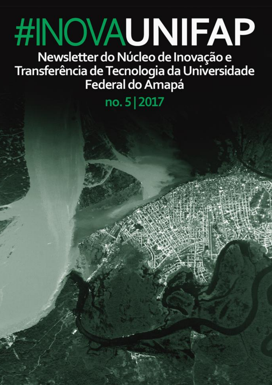# **#INOVAUNIFAP** Newsletter do Núcleo de Inovação e

Transferência de Tecnologia da Universidade

no. 5 | 2017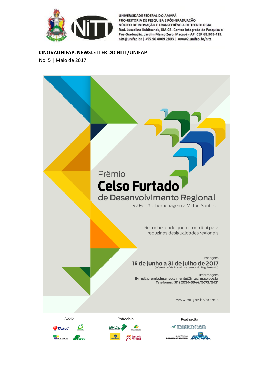

#### **#INOVAUNIFAP: NEWSLETTER DO NITT/UNIFAP**

No. 5 | Maio de 2017

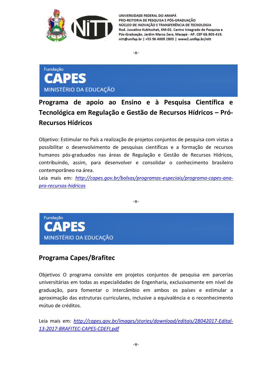

-x-



**Programa de apoio ao Ensino e à Pesquisa Científica e Tecnológica em Regulação e Gestão de Recursos Hídricos – Pró-Recursos Hídricos** 

Objetivo: Estimular no País a realização de projetos conjuntos de pesquisa com vistas a possibilitar o desenvolvimento de pesquisas científicas e a formação de recursos humanos pós-graduados nas áreas de Regulação e Gestão de Recursos Hídricos, contribuindo, assim, para desenvolver e consolidar o conhecimento brasileiro contemporâneo na área.

Leia mais em: *[http://capes.gov.br/bolsas/programas-especiais/programa-capes-ana](http://capes.gov.br/bolsas/programas-especiais/programa-capes-ana-pro-recursos-hidricos)[pro-recursos-hidricos](http://capes.gov.br/bolsas/programas-especiais/programa-capes-ana-pro-recursos-hidricos)*

-x-



### **Programa Capes/Brafitec**

Objetivos O programa consiste em projetos conjuntos de pesquisa em parcerias universitárias em todas as especialidades de Engenharia, exclusivamente em nível de graduação, para fomentar o intercâmbio em ambos os países e estimular a aproximação das estruturas curriculares, inclusive a equivalência e o reconhecimento mútuo de créditos.

Leia mais em: *[http://capes.gov.br/images/stories/download/editais/28042017-Edital-](http://capes.gov.br/images/stories/download/editais/28042017-Edital-13-2017-BRAFITEC-CAPES-CDEFI.pdf)[13-2017-BRAFITEC-CAPES-CDEFI.pdf](http://capes.gov.br/images/stories/download/editais/28042017-Edital-13-2017-BRAFITEC-CAPES-CDEFI.pdf)*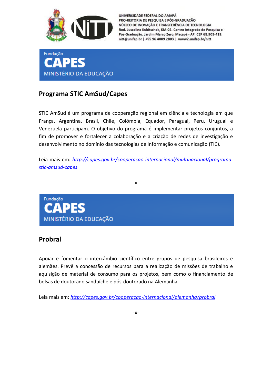



### **Programa STIC AmSud/Capes**

STIC AmSud é um programa de cooperação regional em ciência e tecnologia em que França, Argentina, Brasil, Chile, Colômbia, Equador, Paraguai, Peru, Uruguai e Venezuela participam. O objetivo do programa é implementar projetos conjuntos, a fim de promover e fortalecer a colaboração e a criação de redes de investigação e desenvolvimento no domínio das tecnologias de informação e comunicação (TIC).

Leia mais em: *[http://capes.gov.br/cooperacao-internacional/multinacional/programa](http://capes.gov.br/cooperacao-internacional/multinacional/programa-stic-amsud-capes)[stic-amsud-capes](http://capes.gov.br/cooperacao-internacional/multinacional/programa-stic-amsud-capes)*

-x-



### **Probral**

Apoiar e fomentar o intercâmbio científico entre grupos de pesquisa brasileiros e alemães. Prevê a concessão de recursos para a realização de missões de trabalho e aquisição de material de consumo para os projetos, bem como o financiamento de bolsas de doutorado sanduíche e pós-doutorado na Alemanha.

Leia mais em: *<http://capes.gov.br/cooperacao-internacional/alemanha/probral>*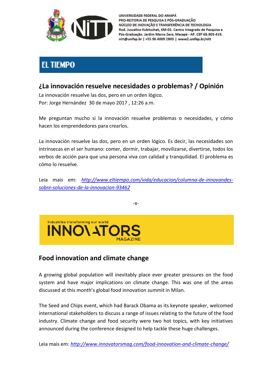

### **EL TIEMPO**

### **¿La innovación resuelve necesidades o problemas? / Opinión**

La innovación resuelve las dos, pero en un orden lógico. Por: Jorge Hernández 30 de mayo 2017 , 12:26 a.m.

Me preguntan mucho si la innovación resuelve problemas o necesidades, y cómo hacen los emprendedores para crearlos.

La innovación resuelve las dos, pero en un orden lógico. Es decir, las necesidades son intrínsecas en el ser humano: comer, dormir, trabajar, movilizarse, divertirse, todos los verbos de acción para que una persona viva con calidad y tranquilidad. El problema es cómo lo resuelve.

Leia mais em: *[http://www.eltiempo.com/vida/educacion/columna-de-innovandes](http://www.eltiempo.com/vida/educacion/columna-de-innovandes-sobre-soluciones-de-la-innovacion-93462)[sobre-soluciones-de-la-innovacion-93462](http://www.eltiempo.com/vida/educacion/columna-de-innovandes-sobre-soluciones-de-la-innovacion-93462)*

-x-



### **Food innovation and climate change**

A growing global population will inevitably place ever greater pressures on the food system and have major implications on climate change. This was one of the areas discussed at this month's global food innovation summit in Milan.

The Seed and Chips event, which had Barack Obama as its keynote speaker, welcomed international stakeholders to discuss a range of issues relating to the future of the food industry. Climate change and food security were two hot topics, with key initiatives announced during the conference designed to help tackle these huge challenges.

Leia mais em: *<http://www.innovatorsmag.com/food-innovation-and-climate-change/>*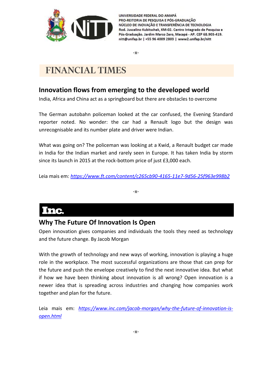

-x-

# **FINANCIAL TIMES**

### **Innovation flows from emerging to the developed world**

India, Africa and China act as a springboard but there are obstacles to overcome

The German autobahn policeman looked at the car confused, the Evening Standard reporter noted. No wonder: the car had a Renault logo but the design was unrecognisable and its number plate and driver were Indian.

What was going on? The policeman was looking at a Kwid, a Renault budget car made in India for the Indian market and rarely seen in Europe. It has taken India by storm since its launch in 2015 at the rock-bottom price of just £3,000 each.

Leia mais em: *<https://www.ft.com/content/c265cb90-4165-11e7-9d56-25f963e998b2>*

-x-

# Inc.

### **Why The Future Of Innovation Is Open**

Open innovation gives companies and individuals the tools they need as technology and the future change. By Jacob Morgan

With the growth of technology and new ways of working, innovation is playing a huge role in the workplace. The most successful organizations are those that can prep for the future and push the envelope creatively to find the next innovative idea. But what if how we have been thinking about innovation is all wrong? Open innovation is a newer idea that is spreading across industries and changing how companies work together and plan for the future.

Leia mais em: [https://www.inc.com/jacob-morgan/why-the-future-of-innovation-is](https://www.inc.com/jacob-morgan/why-the-future-of-innovation-is-open.html)*[open.html](https://www.inc.com/jacob-morgan/why-the-future-of-innovation-is-open.html)*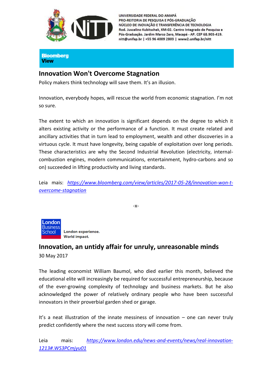

**Bloomberg View** 

### **Innovation Won't Overcome Stagnation**

Policy makers think technology will save them. It's an illusion.

Innovation, everybody hopes, will rescue the world from economic stagnation. I'm not so sure.

The extent to which an innovation is significant depends on the degree to which it alters existing activity or the performance of a function. It must create related and ancillary activities that in turn lead to employment, wealth and other discoveries in a virtuous cycle. It must have longevity, being capable of exploitation over long periods. These characteristics are why the Second Industrial Revolution (electricity, internalcombustion engines, modern communications, entertainment, hydro-carbons and so on) succeeded in lifting productivity and living standards.

Leia mais: *[https://www.bloomberg.com/view/articles/2017-05-28/innovation-won-t](https://www.bloomberg.com/view/articles/2017-05-28/innovation-won-t-overcome-stagnation)[overcome-stagnation](https://www.bloomberg.com/view/articles/2017-05-28/innovation-won-t-overcome-stagnation)*

-x-



London experience. World impact.

### **Innovation, an untidy affair for unruly, unreasonable minds**

30 May 2017

The leading economist William Baumol, who died earlier this month, believed the educational elite will increasingly be required for successful entrepreneurship, because of the ever-growing complexity of technology and business markets. But he also acknowledged the power of relatively ordinary people who have been successful innovators in their proverbial garden shed or garage.

It's a neat illustration of the innate messiness of innovation – one can never truly predict confidently where the next success story will come from.

Leia mais: *[https://www.london.edu/news-and-events/news/real-innovation-](https://www.london.edu/news-and-events/news/real-innovation-1213#.WS3PCmjyu01)[1213#.WS3PCmjyu01](https://www.london.edu/news-and-events/news/real-innovation-1213#.WS3PCmjyu01)*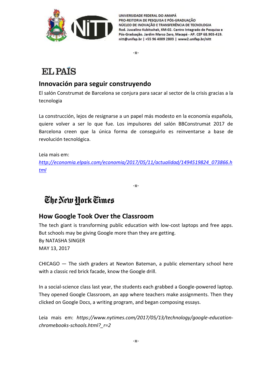

-x-

# **EL PAIS**

### **Innovación para seguir construyendo**

El salón Construmat de Barcelona se conjura para sacar al sector de la crisis gracias a la tecnologia

La construcción, lejos de resignarse a un papel más modesto en la economía española, quiere volver a ser lo que fue. Los impulsores del salón BBConstrumat 2017 de Barcelona creen que la única forma de conseguirlo es reinventarse a base de revolución tecnológica.

Leia mais em:

*[http://economia.elpais.com/economia/2017/05/11/actualidad/1494519824\\_073866.h](http://economia.elpais.com/economia/2017/05/11/actualidad/1494519824_073866.html) [tml](http://economia.elpais.com/economia/2017/05/11/actualidad/1494519824_073866.html)*

-x-

# The New York Times

### **How Google Took Over the Classroom**

The tech giant is transforming public education with low-cost laptops and free apps. But schools may be giving Google more than they are getting. By NATASHA SINGER MAY 13, 2017

CHICAGO — The sixth graders at Newton Bateman, a public elementary school here with a classic red brick facade, know the Google drill.

In a social-science class last year, the students each grabbed a Google-powered laptop. They opened Google Classroom, an app where teachers make assignments. Then they clicked on Google Docs, a writing program, and began composing essays.

Leia mais em: *https://www.nytimes.com/2017/05/13/technology/google-educationchromebooks-schools.html?\_r=2*